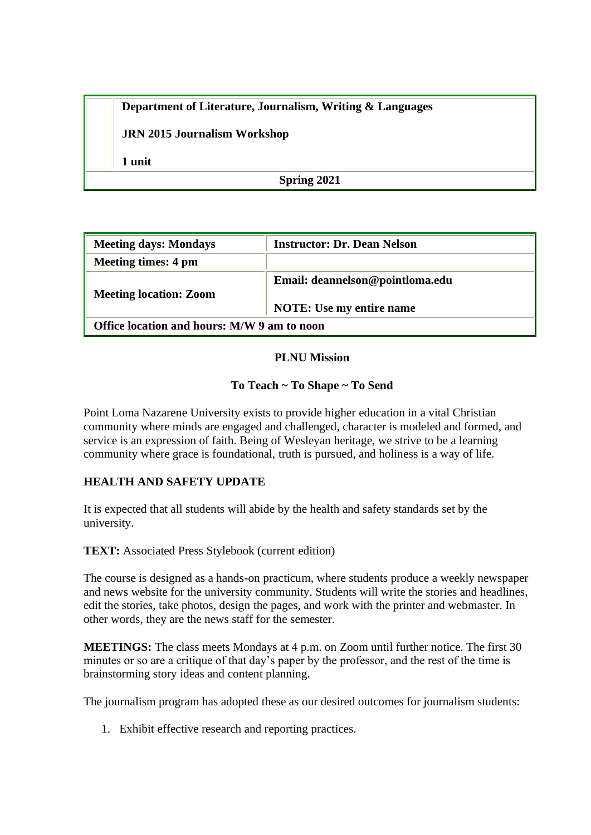**Department of Literature, Journalism, Writing & Languages**

**JRN 2015 Journalism Workshop**

**1 unit**

**Spring 2021**

| <b>Meeting days: Mondays</b>                | <b>Instructor: Dr. Dean Nelson</b> |
|---------------------------------------------|------------------------------------|
| <b>Meeting times: 4 pm</b>                  |                                    |
| <b>Meeting location: Zoom</b>               | Email: deannelson@pointloma.edu    |
|                                             | <b>NOTE:</b> Use my entire name    |
| Office location and hours: M/W 9 am to noon |                                    |

## **PLNU Mission**

#### **To Teach ~ To Shape ~ To Send**

Point Loma Nazarene University exists to provide higher education in a vital Christian community where minds are engaged and challenged, character is modeled and formed, and service is an expression of faith. Being of Wesleyan heritage, we strive to be a learning community where grace is foundational, truth is pursued, and holiness is a way of life.

# **HEALTH AND SAFETY UPDATE**

It is expected that all students will abide by the health and safety standards set by the university.

**TEXT:** Associated Press Stylebook (current edition)

The course is designed as a hands-on practicum, where students produce a weekly newspaper and news website for the university community. Students will write the stories and headlines, edit the stories, take photos, design the pages, and work with the printer and webmaster. In other words, they are the news staff for the semester.

**MEETINGS:** The class meets Mondays at 4 p.m. on Zoom until further notice. The first 30 minutes or so are a critique of that day's paper by the professor, and the rest of the time is brainstorming story ideas and content planning.

The journalism program has adopted these as our desired outcomes for journalism students:

1. Exhibit effective research and reporting practices.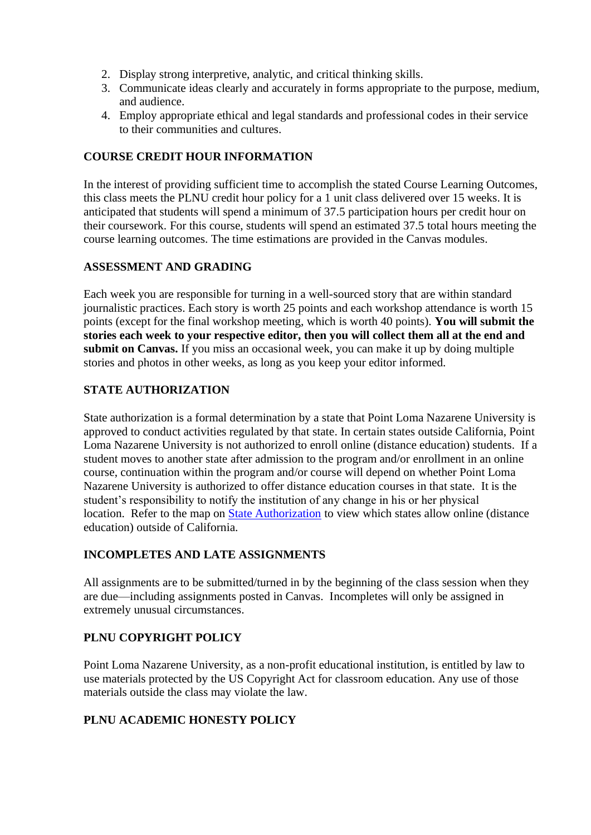- 2. Display strong interpretive, analytic, and critical thinking skills.
- 3. Communicate ideas clearly and accurately in forms appropriate to the purpose, medium, and audience.
- 4. Employ appropriate ethical and legal standards and professional codes in their service to their communities and cultures.

### **COURSE CREDIT HOUR INFORMATION**

In the interest of providing sufficient time to accomplish the stated Course Learning Outcomes, this class meets the PLNU credit hour policy for a 1 unit class delivered over 15 weeks. It is anticipated that students will spend a minimum of 37.5 participation hours per credit hour on their coursework. For this course, students will spend an estimated 37.5 total hours meeting the course learning outcomes. The time estimations are provided in the Canvas modules.

#### **ASSESSMENT AND GRADING**

Each week you are responsible for turning in a well-sourced story that are within standard journalistic practices. Each story is worth 25 points and each workshop attendance is worth 15 points (except for the final workshop meeting, which is worth 40 points). **You will submit the stories each week to your respective editor, then you will collect them all at the end and submit on Canvas.** If you miss an occasional week, you can make it up by doing multiple stories and photos in other weeks, as long as you keep your editor informed.

## **STATE AUTHORIZATION**

State authorization is a formal determination by a state that Point Loma Nazarene University is approved to conduct activities regulated by that state. In certain states outside California, Point Loma Nazarene University is not authorized to enroll online (distance education) students. If a student moves to another state after admission to the program and/or enrollment in an online course, continuation within the program and/or course will depend on whether Point Loma Nazarene University is authorized to offer distance education courses in that state. It is the student's responsibility to notify the institution of any change in his or her physical location. Refer to the map on **State Authorization** to view which states allow online (distance education) outside of California.

#### **INCOMPLETES AND LATE ASSIGNMENTS**

All assignments are to be submitted/turned in by the beginning of the class session when they are due—including assignments posted in Canvas. Incompletes will only be assigned in extremely unusual circumstances.

#### **PLNU COPYRIGHT POLICY**

Point Loma Nazarene University, as a non-profit educational institution, is entitled by law to use materials protected by the US Copyright Act for classroom education. Any use of those materials outside the class may violate the law.

#### **PLNU ACADEMIC HONESTY POLICY**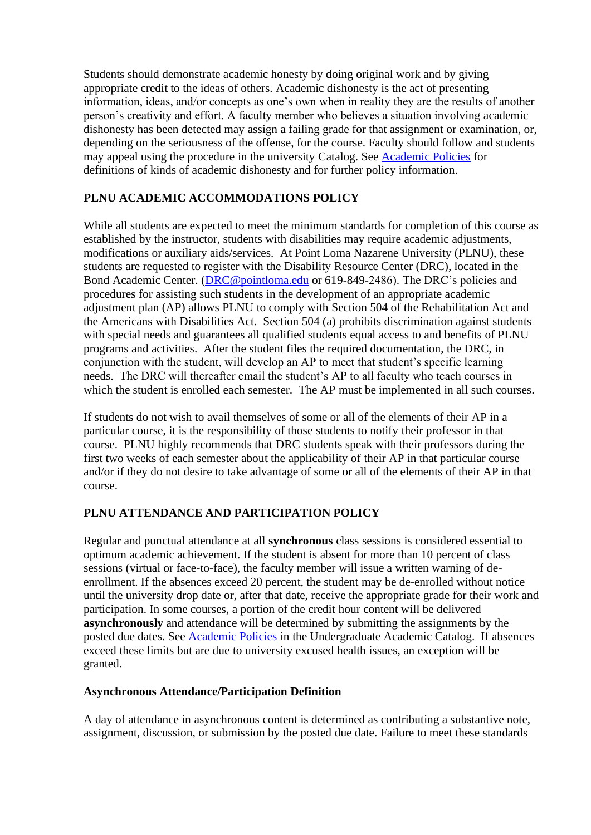Students should demonstrate academic honesty by doing original work and by giving appropriate credit to the ideas of others. Academic dishonesty is the act of presenting information, ideas, and/or concepts as one's own when in reality they are the results of another person's creativity and effort. A faculty member who believes a situation involving academic dishonesty has been detected may assign a failing grade for that assignment or examination, or, depending on the seriousness of the offense, for the course. Faculty should follow and students may appeal using the procedure in the university Catalog. See [Academic Policies](http://catalog.pointloma.edu/content.php?catoid=18&navoid=1278) for definitions of kinds of academic dishonesty and for further policy information.

## **PLNU ACADEMIC ACCOMMODATIONS POLICY**

While all students are expected to meet the minimum standards for completion of this course as established by the instructor, students with disabilities may require academic adjustments, modifications or auxiliary aids/services. At Point Loma Nazarene University (PLNU), these students are requested to register with the Disability Resource Center (DRC), located in the Bond Academic Center. [\(DRC@pointloma.edu](mailto:DRC@pointloma.edu) or 619-849-2486). The DRC's policies and procedures for assisting such students in the development of an appropriate academic adjustment plan (AP) allows PLNU to comply with Section 504 of the Rehabilitation Act and the Americans with Disabilities Act. Section 504 (a) prohibits discrimination against students with special needs and guarantees all qualified students equal access to and benefits of PLNU programs and activities. After the student files the required documentation, the DRC, in conjunction with the student, will develop an AP to meet that student's specific learning needs. The DRC will thereafter email the student's AP to all faculty who teach courses in which the student is enrolled each semester. The AP must be implemented in all such courses.

If students do not wish to avail themselves of some or all of the elements of their AP in a particular course, it is the responsibility of those students to notify their professor in that course. PLNU highly recommends that DRC students speak with their professors during the first two weeks of each semester about the applicability of their AP in that particular course and/or if they do not desire to take advantage of some or all of the elements of their AP in that course.

#### **PLNU ATTENDANCE AND PARTICIPATION POLICY**

Regular and punctual attendance at all **synchronous** class sessions is considered essential to optimum academic achievement. If the student is absent for more than 10 percent of class sessions (virtual or face-to-face), the faculty member will issue a written warning of deenrollment. If the absences exceed 20 percent, the student may be de-enrolled without notice until the university drop date or, after that date, receive the appropriate grade for their work and participation. In some courses, a portion of the credit hour content will be delivered **asynchronously** and attendance will be determined by submitting the assignments by the posted due dates. See [Academic Policies](https://catalog.pointloma.edu/content.php?catoid=46&navoid=2650#Class_Attendance) in the Undergraduate Academic Catalog. If absences exceed these limits but are due to university excused health issues, an exception will be granted.

#### **Asynchronous Attendance/Participation Definition**

A day of attendance in asynchronous content is determined as contributing a substantive note, assignment, discussion, or submission by the posted due date. Failure to meet these standards